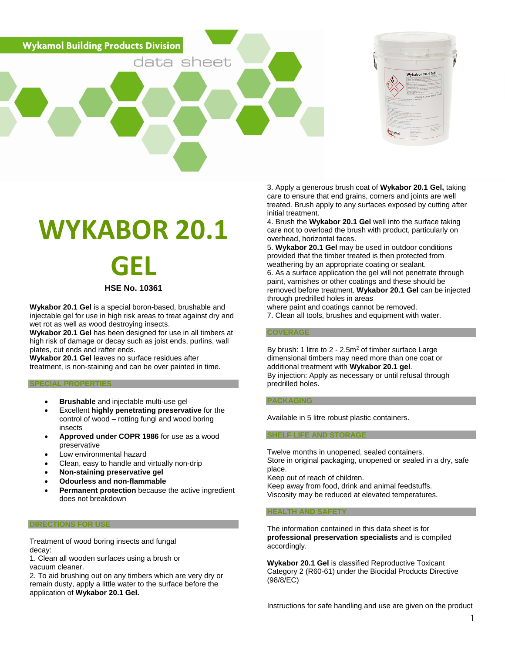**Wykamol Building Products Division** 



# **WYKABOR 20.1**

data sheet



# **HSE No. 10361**

**Wykabor 20.1 Gel** is a special boron-based, brushable and injectable gel for use in high risk areas to treat against dry and wet rot as well as wood destroying insects.

**Wykabor 20.1 Gel** has been designed for use in all timbers at high risk of damage or decay such as joist ends, purlins, wall plates, cut ends and rafter ends.

**Wykabor 20.1 Gel** leaves no surface residues after treatment, is non-staining and can be over painted in time.

## **SPECIAL PROPERTIES**

- **Brushable** and injectable multi-use gel
- Excellent **highly penetrating preservative** for the control of wood – rotting fungi and wood boring insects
- **Approved under COPR 1986** for use as a wood preservative
- Low environmental hazard
- Clean, easy to handle and virtually non-drip
- **Non-staining preservative gel**
- **Odourless and non-flammable**
- **Permanent protection** because the active ingredient does not breakdown

### **DIRECTIONS FOR USE**

Treatment of wood boring insects and fungal decay:

1. Clean all wooden surfaces using a brush or vacuum cleaner.

2. To aid brushing out on any timbers which are very dry or remain dusty, apply a little water to the surface before the application of **Wykabor 20.1 Gel.**

3. Apply a generous brush coat of **Wykabor 20.1 Gel,** taking care to ensure that end grains, corners and joints are well treated. Brush apply to any surfaces exposed by cutting after initial treatment.

4. Brush the **Wykabor 20.1 Gel** well into the surface taking care not to overload the brush with product, particularly on overhead, horizontal faces.

5. **Wykabor 20.1 Gel** may be used in outdoor conditions provided that the timber treated is then protected from weathering by an appropriate coating or sealant. 6. As a surface application the gel will not penetrate through paint, varnishes or other coatings and these should be removed before treatment. **Wykabor 20.1 Gel** can be injected through predrilled holes in areas

where paint and coatings cannot be removed.

7. Clean all tools, brushes and equipment with water.

#### **COVERAGE**

By brush: 1 litre to 2 - 2.5m<sup>2</sup> of timber surface Large dimensional timbers may need more than one coat or additional treatment with **Wykabor 20.1 gel**. By injection: Apply as necessary or until refusal through predrilled holes.

#### **PACKAGING**

Available in 5 litre robust plastic containers.

#### **SHELF LIFE AND STORAGE**

Twelve months in unopened, sealed containers. Store in original packaging, unopened or sealed in a dry, safe place.

Keep out of reach of children.

Keep away from food, drink and animal feedstuffs. Viscosity may be reduced at elevated temperatures.

#### **HEALTH AND SAFETY**

The information contained in this data sheet is for **professional preservation specialists** and is compiled accordingly.

**Wykabor 20.1 Gel** is classified Reproductive Toxicant Category 2 (R60-61) under the Biocidal Products Directive (98/8/EC)

Instructions for safe handling and use are given on the product